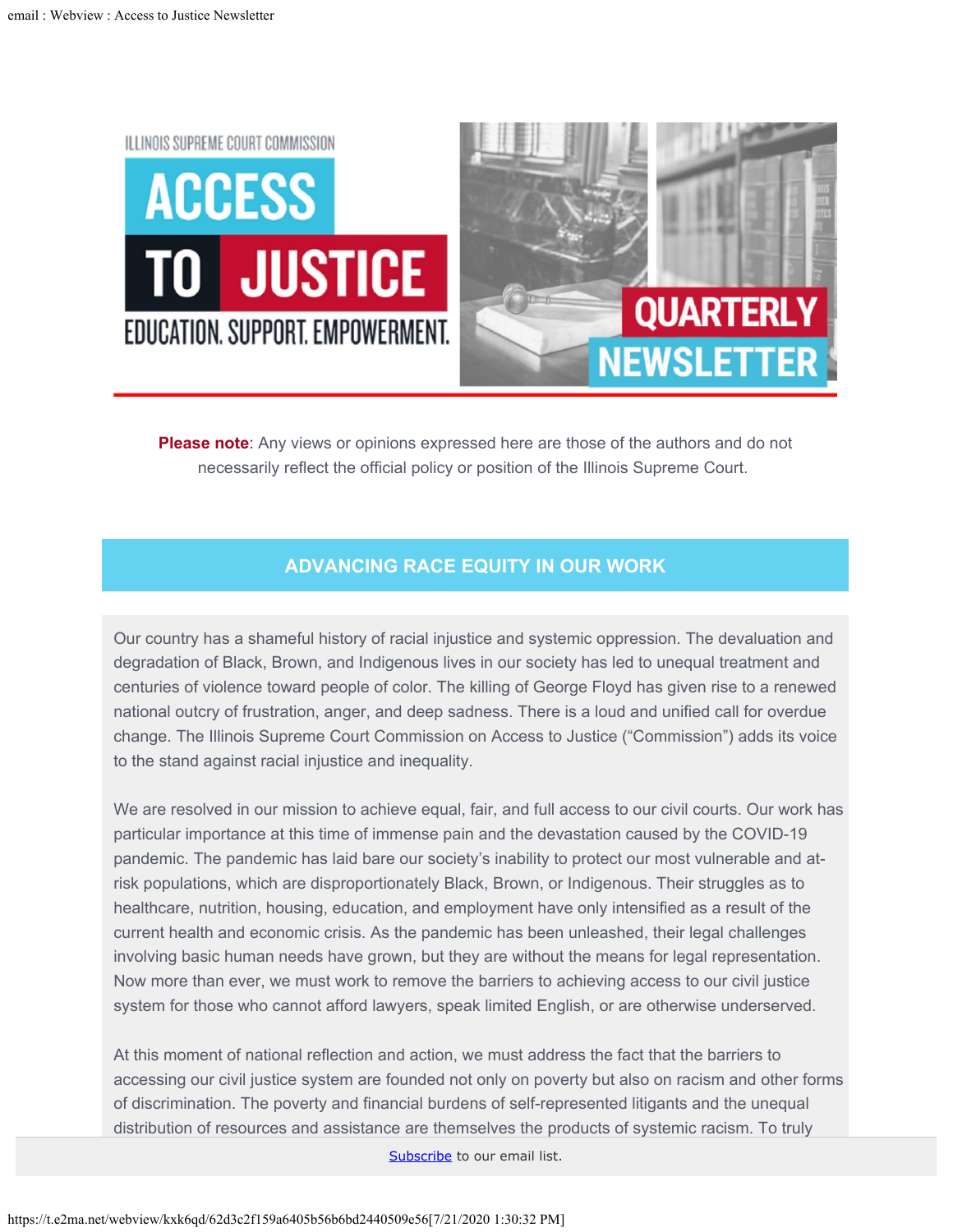<span id="page-0-0"></span>

**Please note**: Any views or opinions expressed here are those of the authors and do not necessarily reflect the official policy or position of the Illinois Supreme Court.

## **ADVANCING RACE EQUITY IN OUR WORK**

Our country has a shameful history of racial injustice and systemic oppression. The devaluation and degradation of Black, Brown, and Indigenous lives in our society has led to unequal treatment and centuries of violence toward people of color. The killing of George Floyd has given rise to a renewed national outcry of frustration, anger, and deep sadness. There is a loud and unified call for overdue change. The Illinois Supreme Court Commission on Access to Justice ("Commission") adds its voice to the stand against racial injustice and inequality.

We are resolved in our mission to achieve equal, fair, and full access to our civil courts. Our work has particular importance at this time of immense pain and the devastation caused by the COVID-19 pandemic. The pandemic has laid bare our society's inability to protect our most vulnerable and atrisk populations, which are disproportionately Black, Brown, or Indigenous. Their struggles as to healthcare, nutrition, housing, education, and employment have only intensified as a result of the current health and economic crisis. As the pandemic has been unleashed, their legal challenges involving basic human needs have grown, but they are without the means for legal representation. Now more than ever, we must work to remove the barriers to achieving access to our civil justice system for those who cannot afford lawyers, speak limited English, or are otherwise underserved.

At this moment of national reflection and action, we must address the fact that the barriers to accessing our civil justice system are founded not only on poverty but also on racism and other forms of discrimination. The poverty and financial burdens of self-represented litigants and the unequal distribution of resources and assistance are themselves the products of systemic racism. To truly

Subscribe to our email list.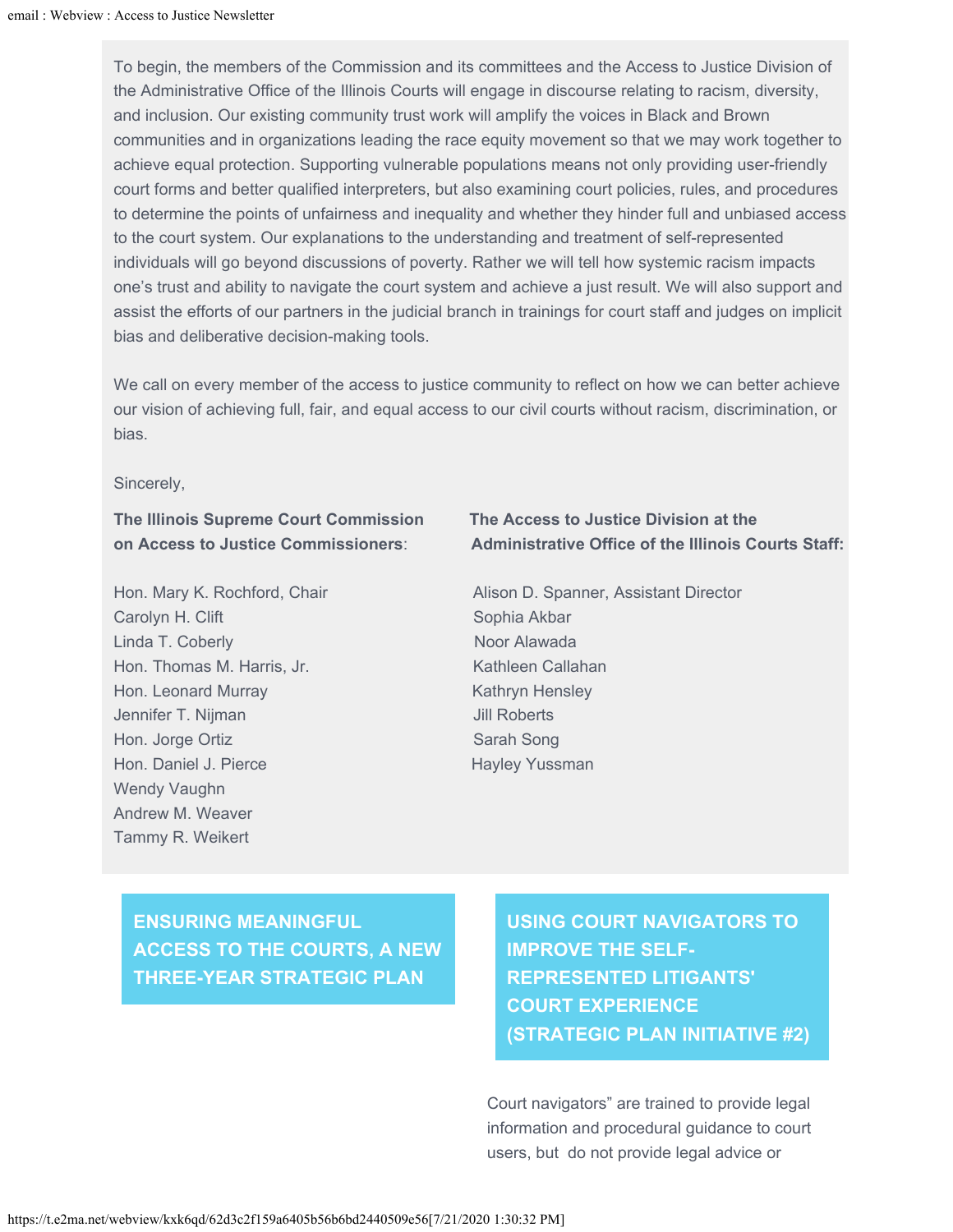To begin, the members of the Commission and its committees and the Access to Justice Division of the Administrative Office of the Illinois Courts will engage in discourse relating to racism, diversity, and inclusion. Our existing community trust work will amplify the voices in Black and Brown communities and in organizations leading the race equity movement so that we may work together to achieve equal protection. Supporting vulnerable populations means not only providing user-friendly court forms and better qualified interpreters, but also examining court policies, rules, and procedures to determine the points of unfairness and inequality and whether they hinder full and unbiased access to the court system. Our explanations to the understanding and treatment of self-represented individuals will go beyond discussions of poverty. Rather we will tell how systemic racism impacts one's trust and ability to navigate the court system and achieve a just result. We will also support and assist the efforts of our partners in the judicial branch in trainings for court staff and judges on implicit bias and deliberative decision-making tools.

We call on every member of the access to justice community to reflect on how we can better achieve our vision of achieving full, fair, and equal access to our civil courts without racism, discrimination, or bias.

Sincerely,

**The Illinois Supreme Court Commission The Access to Justice Division at the**

Carolyn H. Clift Sophia Akbar Linda T. Coberly Noor Alawada Hon. Thomas M. Harris, Jr. Kathleen Callahan Hon. Leonard Murray **Kathryn Hensley** Kathryn Hensley Jennifer T. Nijman Jill Roberts Hon. Jorge Ortiz **Sarah Song** Sarah Song Hon. Daniel J. Pierce Hayley Yussman Wendy Vaughn Andrew M. Weaver Tammy R. Weikert

## **on Access to Justice Commissioners**: **Administrative Office of the Illinois Courts Staff:**

Hon. Mary K. Rochford, Chair **Alison D. Spanner, Assistant Director** 

**ENSURING MEANINGFUL ACCESS TO THE COURTS, A NEW THREE-YEAR STRATEGIC PLAN**

**USING COURT NAVIGATORS TO IMPROVE THE SELF-REPRESENTED LITIGANTS' COURT EXPERIENCE (STRATEGIC PLAN INITIATIVE #2)**

Court navigators" are trained to provide legal information and procedural guidance to court users, but do not provide legal advice or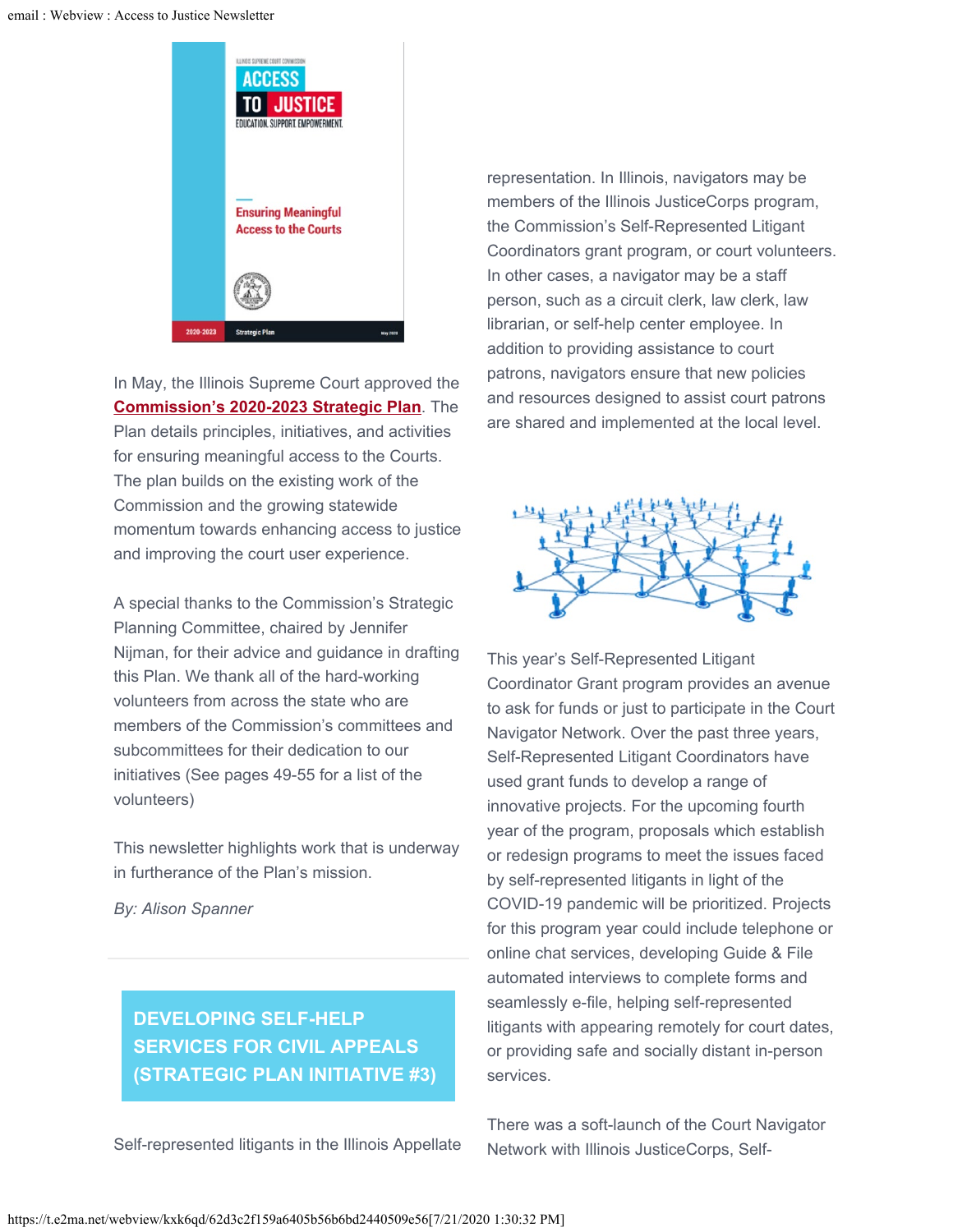

In May, the Illinois Supreme Court approved the **[Commission's 2020-2023 Strategic Plan](https://courts.illinois.gov/SupremeCourt/Committees/ATJ_Commn/01-Strategic_Plan_2020.pdf)**. The Plan details principles, initiatives, and activities for ensuring meaningful access to the Courts. The plan builds on the existing work of the Commission and the growing statewide momentum towards enhancing access to justice and improving the court user experience.

A special thanks to the Commission's Strategic Planning Committee, chaired by Jennifer Nijman, for their advice and guidance in drafting this Plan. We thank all of the hard-working volunteers from across the state who are members of the Commission's committees and subcommittees for their dedication to our initiatives (See pages 49-55 for a list of the volunteers)

This newsletter highlights work that is underway in furtherance of the Plan's mission.

*By: Alison Spanner*

## **DEVELOPING SELF-HELP SERVICES FOR CIVIL APPEALS (STRATEGIC PLAN INITIATIVE #3)**

Self-represented litigants in the Illinois Appellate

representation. In Illinois, navigators may be members of the Illinois JusticeCorps program, the Commission's Self-Represented Litigant Coordinators grant program, or court volunteers. In other cases, a navigator may be a staff person, such as a circuit clerk, law clerk, law librarian, or self-help center employee. In addition to providing assistance to court patrons, navigators ensure that new policies and resources designed to assist court patrons are shared and implemented at the local level.



This year's Self-Represented Litigant Coordinator Grant program provides an avenue to ask for funds or just to participate in the Court Navigator Network. Over the past three years, Self-Represented Litigant Coordinators have used grant funds to develop a range of innovative projects. For the upcoming fourth year of the program, proposals which establish or redesign programs to meet the issues faced by self-represented litigants in light of the COVID-19 pandemic will be prioritized. Projects for this program year could include telephone or online chat services, developing Guide & File automated interviews to complete forms and seamlessly e-file, helping self-represented litigants with appearing remotely for court dates, or providing safe and socially distant in-person services.

There was a soft-launch of the Court Navigator Network with Illinois JusticeCorps, Self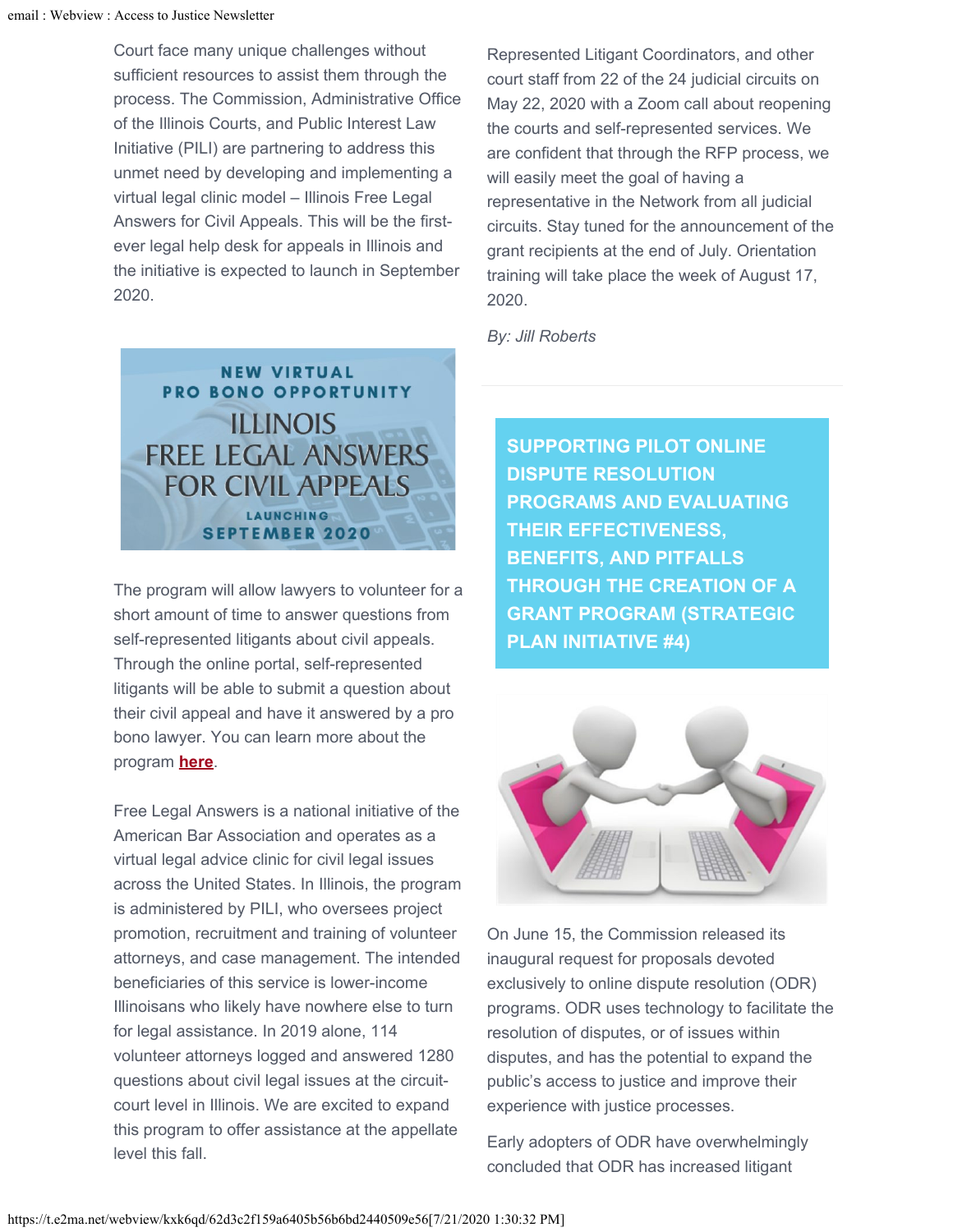Court face many unique challenges without sufficient resources to assist them through the process. The Commission, Administrative Office of the Illinois Courts, and Public Interest Law Initiative (PILI) are partnering to address this unmet need by developing and implementing a virtual legal clinic model – Illinois Free Legal Answers for Civil Appeals. This will be the firstever legal help desk for appeals in Illinois and the initiative is expected to launch in September 2020.

Represented Litigant Coordinators, and other court staff from 22 of the 24 judicial circuits on May 22, 2020 with a Zoom call about reopening the courts and self-represented services. We are confident that through the RFP process, we will easily meet the goal of having a representative in the Network from all judicial circuits. Stay tuned for the announcement of the grant recipients at the end of July. Orientation training will take place the week of August 17, 2020.

*By: Jill Roberts*



The program will allow lawyers to volunteer for a short amount of time to answer questions from self-represented litigants about civil appeals. Through the online portal, self-represented litigants will be able to submit a question about their civil appeal and have it answered by a pro bono lawyer. You can learn more about the program **[here](http://pili.org/appellate)**.

Free Legal Answers is a national initiative of the American Bar Association and operates as a virtual legal advice clinic for civil legal issues across the United States. In Illinois, the program is administered by PILI, who oversees project promotion, recruitment and training of volunteer attorneys, and case management. The intended beneficiaries of this service is lower-income Illinoisans who likely have nowhere else to turn for legal assistance. In 2019 alone, 114 volunteer attorneys logged and answered 1280 questions about civil legal issues at the circuitcourt level in Illinois. We are excited to expand this program to offer assistance at the appellate level this fall.

**SUPPORTING PILOT ONLINE DISPUTE RESOLUTION PROGRAMS AND EVALUATING THEIR EFFECTIVENESS, BENEFITS, AND PITFALLS THROUGH THE CREATION OF A GRANT PROGRAM (STRATEGIC PLAN INITIATIVE #4)**



On June 15, the Commission released its inaugural request for proposals devoted exclusively to online dispute resolution (ODR) programs. ODR uses technology to facilitate the resolution of disputes, or of issues within disputes, and has the potential to expand the public's access to justice and improve their experience with justice processes.

Early adopters of ODR have overwhelmingly concluded that ODR has increased litigant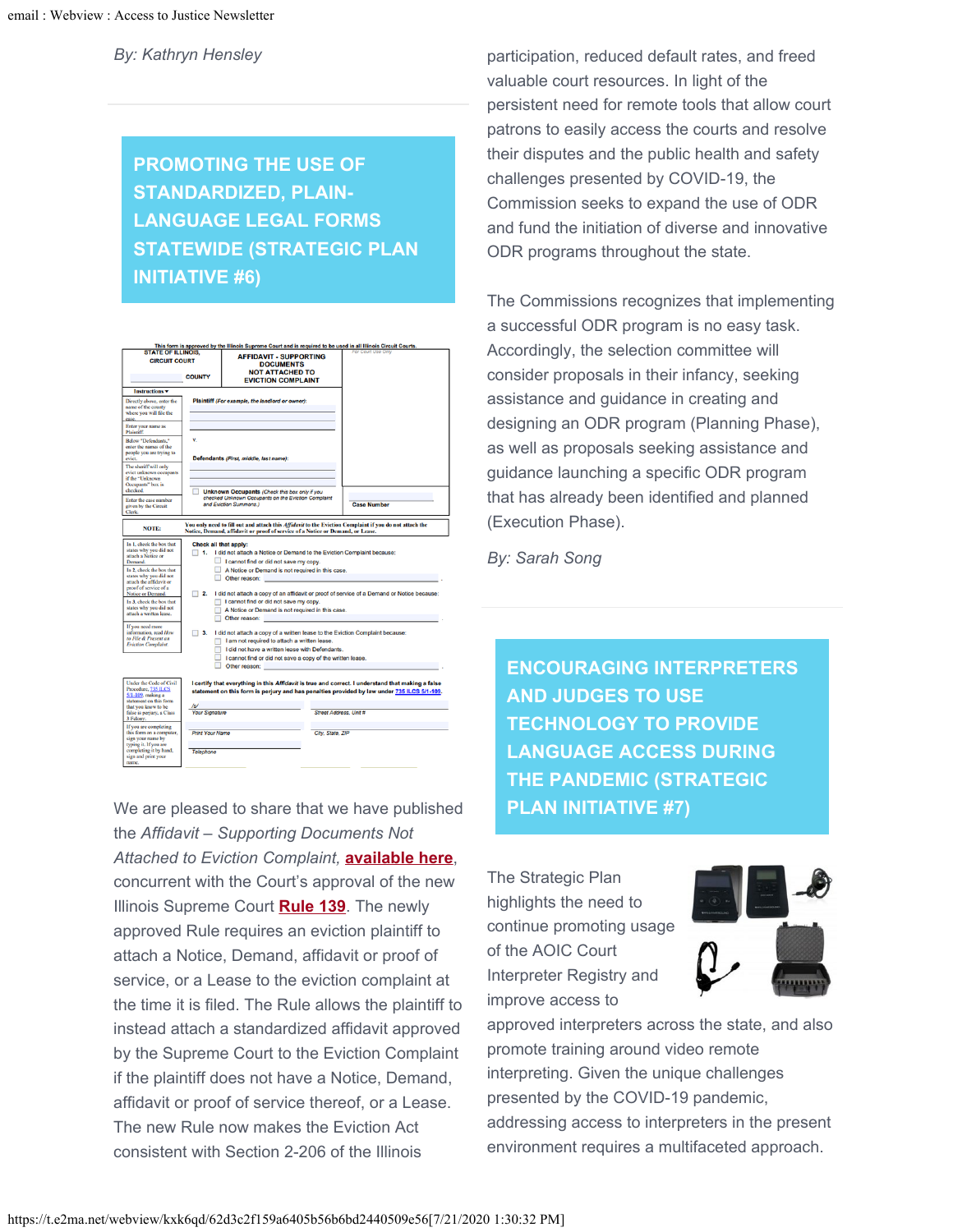*By: Kathryn Hensley*

## **PROMOTING THE USE OF STANDARDIZED, PLAIN-LANGUAGE LEGAL FORMS STATEWIDE (STRATEGIC PLAN INITIATIVE #6)**



We are pleased to share that we have published the *Affidavit – Supporting Documents Not Attached to Eviction Complaint,* **[available here](http://illinoiscourts.gov/Forms/approved/eviction/eviction.asp)**, concurrent with the Court's approval of the new Illinois Supreme Court **[Rule 139](http://illinoiscourts.gov/SupremeCourt/Rules/Art_II/default.asp)**. The newly approved Rule requires an eviction plaintiff to attach a Notice, Demand, affidavit or proof of service, or a Lease to the eviction complaint at the time it is filed. The Rule allows the plaintiff to instead attach a standardized affidavit approved by the Supreme Court to the Eviction Complaint if the plaintiff does not have a Notice, Demand, affidavit or proof of service thereof, or a Lease. The new Rule now makes the Eviction Act consistent with Section 2-206 of the Illinois

participation, reduced default rates, and freed valuable court resources. In light of the persistent need for remote tools that allow court patrons to easily access the courts and resolve their disputes and the public health and safety challenges presented by COVID-19, the Commission seeks to expand the use of ODR and fund the initiation of diverse and innovative ODR programs throughout the state.

The Commissions recognizes that implementing a successful ODR program is no easy task. Accordingly, the selection committee will consider proposals in their infancy, seeking assistance and guidance in creating and designing an ODR program (Planning Phase), as well as proposals seeking assistance and guidance launching a specific ODR program that has already been identified and planned (Execution Phase).

*By: Sarah Song*

**ENCOURAGING INTERPRETERS AND JUDGES TO USE TECHNOLOGY TO PROVIDE LANGUAGE ACCESS DURING THE PANDEMIC (STRATEGIC PLAN INITIATIVE #7)**

The Strategic Plan highlights the need to continue promoting usage of the AOIC Court Interpreter Registry and improve access to



approved interpreters across the state, and also promote training around video remote interpreting. Given the unique challenges presented by the COVID-19 pandemic, addressing access to interpreters in the present environment requires a multifaceted approach.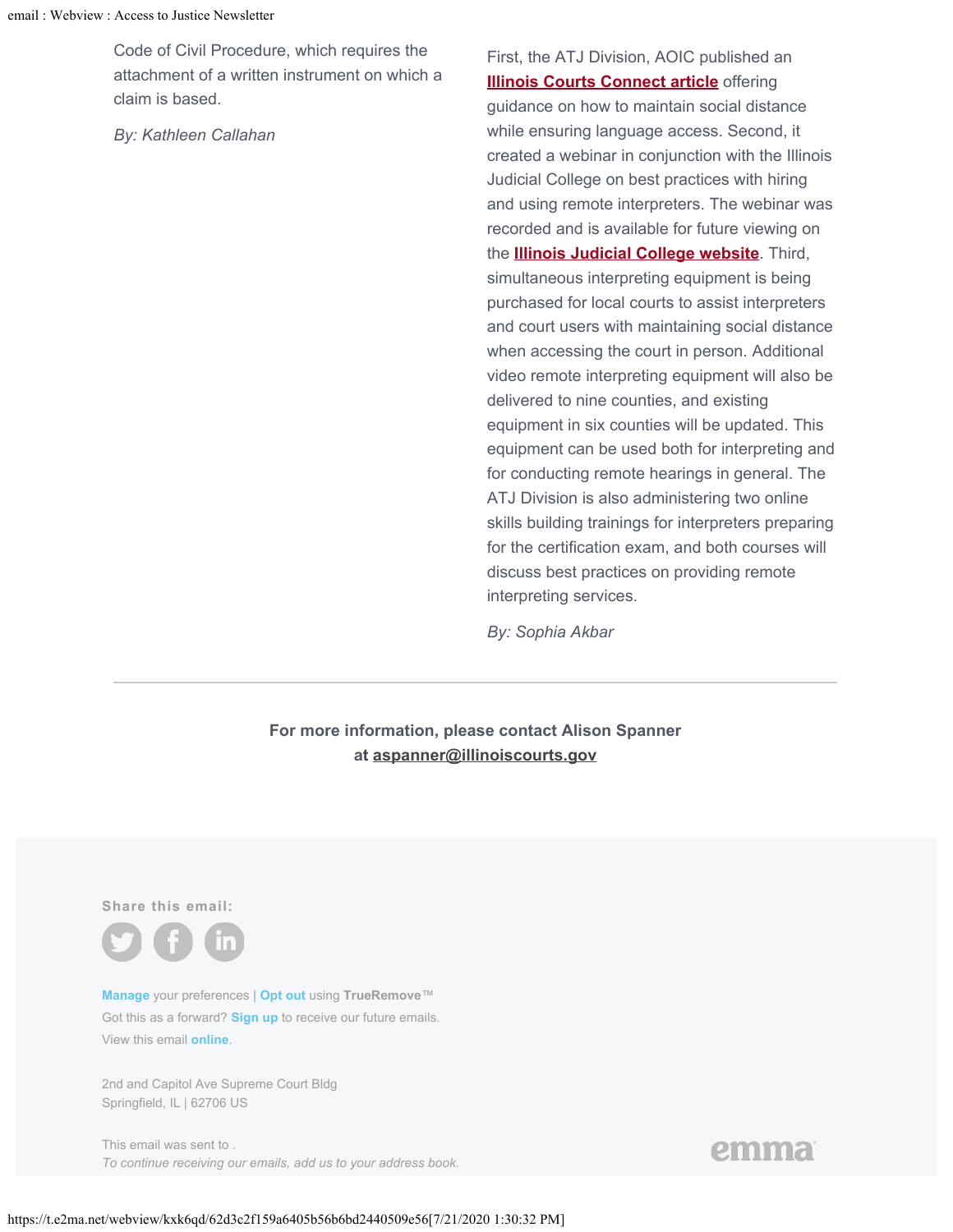Code of Civil Procedure, which requires the attachment of a written instrument on which a claim is based.

*By: Kathleen Callahan*

First, the ATJ Division, AOIC published an **[Illinois Courts Connect article](http://illinoiscourts.gov/Media/enews/2020/042820-ATJ.asp) offering** guidance on how to maintain social distance while ensuring language access. Second, it created a webinar in conjunction with the Illinois Judicial College on best practices with hiring and using remote interpreters. The webinar was recorded and is available for future viewing on the **[Illinois Judicial College website](http://illinoiscourts.gov/IL_Judicial_College/default.asp)**. Third, simultaneous interpreting equipment is being purchased for local courts to assist interpreters and court users with maintaining social distance when accessing the court in person. Additional video remote interpreting equipment will also be delivered to nine counties, and existing equipment in six counties will be updated. This equipment can be used both for interpreting and for conducting remote hearings in general. The ATJ Division is also administering two online skills building trainings for interpreters preparing for the certification exam, and both courses will discuss best practices on providing remote interpreting services.

*By: Sophia Akbar*

**For more information, please contact Alison Spanner at [aspanner@illinoiscourts.gov](mailto:aspanner@illinoiscourts.gov)**

**Share this email:**



**[Manage](#page-0-0)** your preferences | **[Opt out](#page-0-0)** using **TrueRemove**™ Got this as a forward? **[Sign up](https://app.e2ma.net/app2/audience/signup/1835348/1788390.209779174/)** to receive our future emails. View this email **[online](#page-0-0)**.

[2nd and Capitol Ave Supreme Court Bldg](#page-0-0)  [Springfield, IL | 62706 US](#page-0-0)

This email was sent to . *To continue receiving our emails, add us to your address book.* emma